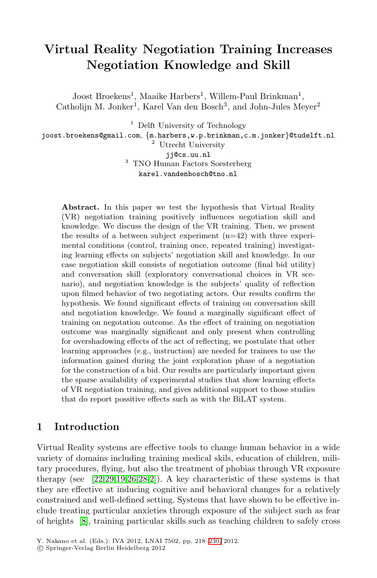# **Virtual Reality Negotiation Training Increases Negotiation Knowledge and Skill**

Joost Broekens<sup>1</sup>, Maaike Harbers<sup>1</sup>, Willem-Paul Brinkman<sup>1</sup>, Catholijn M. Jonker<sup>1</sup>, Karel Van den Bosch<sup>3</sup>, and John-Jules Meyer<sup>2</sup>

<sup>1</sup> Delft University of Technology

joost.broekens@gmail.com, *{*m.harbers,w.p.brinkman,c.m.jonker*}*@tudelft.nl <sup>2</sup> Utrecht University

jj@cs.uu.nl <sup>3</sup> TNO Human Factors Soesterberg karel.vandenbosch@tno.nl

**Abstract.** In this paper we test the hypothesis that Virtual Reality (VR) negotiation training positively influences negotiation skill and knowledge. We discuss the design of the VR training. Then, we present the results of a between subject experiment  $(n=42)$  with three experimental conditions (control, training once, repeated training) investigating learning effects on subjects' negotiation skill and knowledge. In our case negotiation skill consists of negotiation outcome (final bid utility) and conversation skill (exploratory conversational choices in VR scenario), and negotiation knowledge is the subjects' quality of reflection upon filmed behavior of two negotiating actors. Our results confirm the hypothesis. We found significant effects of training on conversation skill and negotiation knowledge. We found a marginally significant effect of training on negotation outcome. As the effect of training on negotiation outcome was marginally significant and only present when controlling for overshadowing effects of the act of reflecting, we postulate that other learning approaches (e.g., instruction) are needed for trainees to use the information gained during the joint exploration phase of a negotiation for the construction of a bid. Our results are particularly important given the sparse availability of experimental studies that show learning effects of VR negotiation training, and gives additional support to those studies that do report possitive effects such as with the BiLAT system.

# **1 Introduction**

Virtual Reality systems are effective tools to change human behavior in a wide variety of domains including training medical skils, education of children, military procedures, flying, but also the treatment of phobias through VR exposure therapy (see  $[22, 29, 19, 26, 28, 2]$  $[22, 29, 19, 26, 28, 2]$  $[22, 29, 19, 26, 28, 2]$  $[22, 29, 19, 26, 28, 2]$  $[22, 29, 19, 26, 28, 2]$  $[22, 29, 19, 26, 28, 2]$  $[22, 29, 19, 26, 28, 2]$  $[22, 29, 19, 26, 28, 2]$  $[22, 29, 19, 26, 28, 2]$ ). A key characteristic of these systems is that they are effective at inducing cognitive and behavioral changes for a relatively constrained and well-defined setting. Systems that have shown to be effective include treating particular anxieties through exposure of the subject such as fear of heights [\[8\]](#page-10-1), training particular skills such as teaching children to safely cross

Y. Nakano et al. (Eds.): IVA 2012, LNAI 7502, pp. 218[–230,](#page-12-1) 2012.

<sup>-</sup>c Springer-Verlag Berlin Heidelberg 2012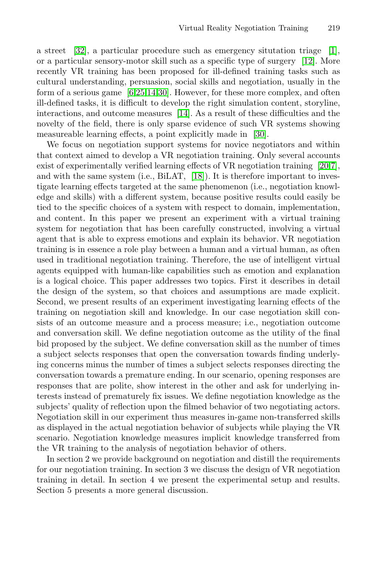a street [\[32\]](#page-12-2), a particular procedure such as emergency situtation triage [\[1\]](#page-10-2), or a particular sensory-motor skill such as a specific type of surgery [\[12\]](#page-11-4). More recently VR training has been proposed for ill-defined training tasks such as cultural understanding, persuasion, social skills and negotiation, usually in the form of a serious game [\[6,](#page-10-3)[25,](#page-11-5)[14,](#page-11-6)[30\]](#page-12-3). However, for these more complex, and often ill-defined tasks, it is difficult to develop the right simulation content, storyline, interactions, and outcome measures [\[14\]](#page-11-6). As a result of these difficulties and the novelty of the field, there is only sparse evidence of such VR systems showing measureable learning effects, a point explicitly made in [\[30\]](#page-12-3).

We focus on negotiation support systems for novice negotiators and within that context aimed to develop a VR negotiation training. Only several accounts exist of experimentally verified learning effects of VR negotiation training [\[20](#page-11-7)[,7\]](#page-10-4), and with the same system (i.e., BiLAT, [\[18\]](#page-11-8)). It is therefore important to investigate learning effects targeted at the same phenomenon (i.e., negotiation knowledge and skills) with a different system, because positive results could easily be tied to the specific choices of a system with respect to domain, implementation, and content. In this paper we present an experiment with a virtual training system for negotiation that has been carefully constructed, involving a virtual agent that is able to express emotions and explain its behavior. VR negotiation training is in essence a role play between a human and a virtual human, as often used in traditional negotiation training. Therefore, the use of intelligent virtual agents equipped with human-like capabilities such as emotion and explanation is a logical choice. This paper addresses two topics. First it describes in detail the design of the system, so that choices and assumptions are made explicit. Second, we present results of an experiment investigating learning effects of the training on negotiation skill and knowledge. In our case negotiation skill consists of an outcome measure and a process measure; i.e., negotiation outcome and conversation skill. We define negotiation outcome as the utility of the final bid proposed by the subject. We define conversation skill as the number of times a subject selects responses that open the conversation towards finding underlying concerns minus the number of times a subject selects responses directing the conversation towards a premature ending. In our scenario, opening responses are responses that are polite, show interest in the other and ask for underlying interests instead of prematurely fix issues. We define negotiation knowledge as the subjects' quality of reflection upon the filmed behavior of two negotiating actors. Negotiation skill in our experiment thus measures in-game non-transferred skills as displayed in the actual negotiation behavior of subjects while playing the VR scenario. Negotiation knowledge measures implicit knowledge transferred from the VR training to the analysis of negotiation behavior of others.

In section 2 we provide background on negotiation and distill the requirements for our negotiation training. In section 3 we discuss the design of VR negotiation training in detail. In section 4 we present the experimental setup and results. Section 5 presents a more general discussion.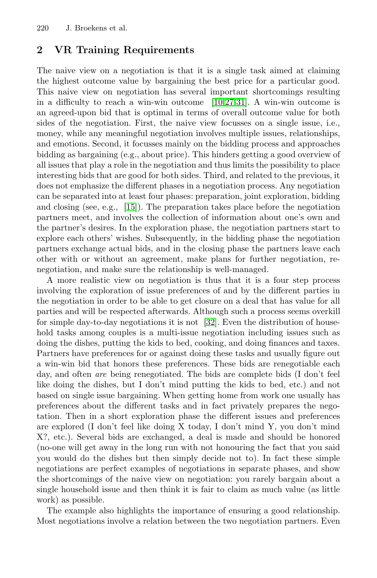### **2 VR Training Requirements**

The naive view on a negotiation is that it is a single task aimed at claiming the highest outcome value by bargaining the best price for a particular good. This naive view on negotiation has several important shortcomings resulting in a difficulty to reach a win-win outcome  $[10,27,31]$  $[10,27,31]$  $[10,27,31]$ . A win-win outcome is an agreed-upon bid that is optimal in terms of overall outcome value for both sides of the negotiation. First, the naive view focusses on a single issue, i.e., money, while any meaningful negotiation involves multiple issues, relationships, and emotions. Second, it focusses mainly on the bidding process and approaches bidding as bargaining (e.g., about price). This hinders getting a good overview of all issues that play a role in the negotiation and thus limits the possibility to place interesting bids that are good for both sides. Third, and related to the previous, it does not emphasize the different phases in a negotiation process. Any negotiation can be separated into at least four phases: preparation, joint exploration, bidding and closing (see, e.g., [\[15\]](#page-11-11)). The preparation takes place before the negotiation partners meet, and involves the collection of information about one's own and the partner's desires. In the exploration phase, the negotiation partners start to explore each others' wishes. Subsequently, in the bidding phase the negotiation partners exchange actual bids, and in the closing phase the partners leave each other with or without an agreement, make plans for further negotiation, renegotiation, and make sure the relationship is well-managed.

A more realistic view on negotiation is thus that it is a four step process involving the exploration of issue preferences of and by the different parties in the negotiation in order to be able to get closure on a deal that has value for all parties and will be respected afterwards. Although such a process seems overkill for simple day-to-day negotiations it is not [\[32\]](#page-12-2). Even the distribution of household tasks among couples is a multi-issue negotiation including issues such as doing the dishes, putting the kids to bed, cooking, and doing finances and taxes. Partners have preferences for or against doing these tasks and usually figure out a win-win bid that honors these preferences. These bids are renegotiable each day, and often *are* being renegotiated. The bids are complete bids (I don't feel like doing the dishes, but I don't mind putting the kids to bed, etc.) and not based on single issue bargaining. When getting home from work one usually has preferences about the different tasks and in fact privately prepares the negotation. Then in a short exploration phase the different issues and preferences are explored (I don't feel like doing X today, I don't mind Y, you don't mind X?, etc.). Several bids are exchanged, a deal is made and should be honored (no-one will get away in the long run with not honouring the fact that you said you would do the dishes but then simply decide not to). In fact these simple negotiations are perfect examples of negotiations in separate phases, and show the shortcomings of the naive view on negotiation: you rarely bargain about a single household issue and then think it is fair to claim as much value (as little work) as possible.

The example also highlights the importance of ensuring a good relationship. Most negotiations involve a relation between the two negotiation partners. Even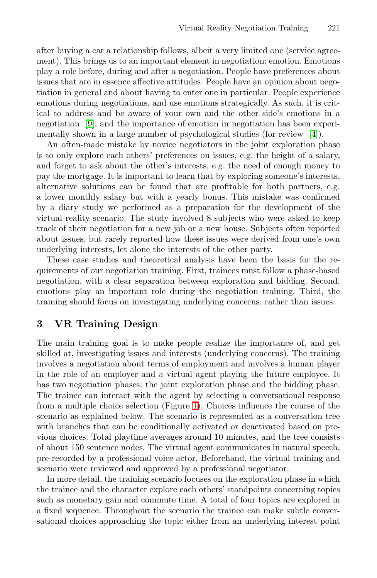after buying a car a relationship follows, albeit a very limited one (service agreement). This brings us to an important element in negotiation: emotion. Emotions play a role before, during and after a negotiation. People have preferences about issues that are in essence affective attitudes. People have an opinion about negotiation in general and about having to enter one in particular. People experience emotions during negotiations, and use emotions strategically. As such, it is critical to address and be aware of your own and the other side's emotions in a negotiation [\[9\]](#page-10-5), and the importance of emotion in negotiation has been experimentally shown in a large number of psychological studies (for review [\[4\]](#page-10-6)).

An often-made mistake by novice negotiators in the joint exploration phase is to only explore each others' preferences on issues, e.g. the height of a salary, and forget to ask about the other's interests, e.g. the need of enough money to pay the mortgage. It is important to learn that by exploring someone's interests, alternative solutions can be found that are profitable for both partners, e.g. a lower monthly salary but with a yearly bonus. This mistake was confirmed by a diary study we performed as a preparation for the development of the virtual reality scenario. The study involved 8 subjects who were asked to keep track of their negotiation for a new job or a new house. Subjects often reported about issues, but rarely reported how these issues were derived from one's own underlying interests, let alone the interests of the other party.

These case studies and theoretical analysis have been the basis for the requirements of our negotiation training. First, trainees must follow a phase-based negotiation, with a clear separation between exploration and bidding. Second, emotions play an important role during the negotiation training. Third, the training should focus on investigating underlying concerns, rather than issues.

# **3 VR Training Design**

The main training goal is to make people realize the importance of, and get skilled at, investigating issues and interests (underlying concerns). The training involves a negotiation about terms of employment and involves a human player in the role of an employer and a virtual agent playing the future employee. It has two negotiation phases: the joint exploration phase and the bidding phase. The trainee can interact with the agent by selecting a conversational response from a multiple choice selection (Figure [1\)](#page-4-0). Choices influence the course of the scenario as explained below. The scenario is represented as a conversation tree with branches that can be conditionally activated or deactivated based on previous choices. Total playtime averages around 10 minutes, and the tree consists of about 150 sentence nodes. The virtual agent communicates in natural speech, pre-recorded by a professional voice actor. Beforehand, the virtual training and scenario were reviewed and approved by a professional negotiator.

In more detail, the training scenario focuses on the exploration phase in which the trainee and the character explore each others' standpoints concerning topics such as monetary gain and commute time. A total of four topics are explored in a fixed sequence. Throughout the scenario the trainee can make subtle conversational choices approaching the topic either from an underlying interest point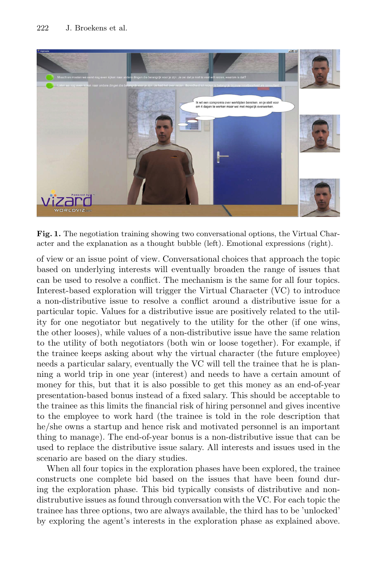

<span id="page-4-0"></span>**Fig. 1.** The negotiation training showing two conversational options, the Virtual Character and the explanation as a thought bubble (left). Emotional expressions (right).

of view or an issue point of view. Conversational choices that approach the topic based on underlying interests will eventually broaden the range of issues that can be used to resolve a conflict. The mechanism is the same for all four topics. Interest-based exploration will trigger the Virtual Character (VC) to introduce a non-distributive issue to resolve a conflict around a distributive issue for a particular topic. Values for a distributive issue are positively related to the utility for one negotiator but negatively to the utility for the other (if one wins, the other looses), while values of a non-distributive issue have the same relation to the utility of both negotiators (both win or loose together). For example, if the trainee keeps asking about why the virtual character (the future employee) needs a particular salary, eventually the VC will tell the trainee that he is planning a world trip in one year (interest) and needs to have a certain amount of money for this, but that it is also possible to get this money as an end-of-year presentation-based bonus instead of a fixed salary. This should be acceptable to the trainee as this limits the financial risk of hiring personnel and gives incentive to the employee to work hard (the trainee is told in the role description that he/she owns a startup and hence risk and motivated personnel is an important thing to manage). The end-of-year bonus is a non-distributive issue that can be used to replace the distributive issue salary. All interests and issues used in the scenario are based on the diary studies.

When all four topics in the exploration phases have been explored, the trainee constructs one complete bid based on the issues that have been found during the exploration phase. This bid typically consists of distributive and nondistrubutive issues as found through conversation with the VC. For each topic the trainee has three options, two are always available, the third has to be 'unlocked' by exploring the agent's interests in the exploration phase as explained above.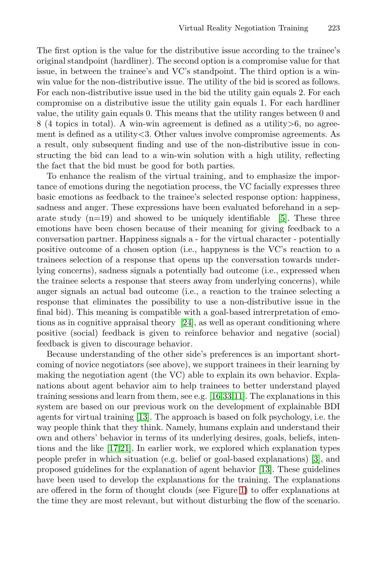The first option is the value for the distributive issue according to the trainee's original standpoint (hardliner). The second option is a compromise value for that issue, in between the trainee's and VC's standpoint. The third option is a winwin value for the non-distributive issue. The utility of the bid is scored as follows. For each non-distributive issue used in the bid the utility gain equals 2. For each compromise on a distributive issue the utility gain equals 1. For each hardliner value, the utility gain equals 0. This means that the utility ranges between 0 and 8 (4 topics in total). A win-win agreement is defined as a utility*>*6, no agreement is defined as a utility*<*3. Other values involve compromise agreements. As a result, only subsequent finding and use of the non-distributive issue in constructing the bid can lead to a win-win solution with a high utility, reflecting the fact that the bid must be good for both parties.

To enhance the realism of the virtual training, and to emphasize the importance of emotions during the negotiation process, the VC facially expresses three basic emotions as feedback to the trainee's selected response option: happiness, sadness and anger. These expressions have been evaluated beforehand in a separate study  $(n=19)$  and showed to be uniquely identifiable [\[5\]](#page-10-7). These three emotions have been chosen because of their meaning for giving feedback to a conversation partner. Happiness signals a - for the virtual character - potentially positive outcome of a chosen option (i.e., happyness is the VC's reaction to a trainees selection of a response that opens up the conversation towards underlying concerns), sadness signals a potentially bad outcome (i.e., expressed when the trainee selects a response that steers away from underlying concerns), while anger signals an actual bad outcome (i.e., a reaction to the trainee selecting a response that eliminates the possibility to use a non-distributive issue in the final bid). This meaning is compatible with a goal-based intrerpretation of emotions as in cognitive appraisal theory [\[24\]](#page-11-12), as well as operant conditioning where positive (social) feedback is given to reinforce behavior and negative (social) feedback is given to discourage behavior.

Because understanding of the other side's preferences is an important shortcoming of novice negotiators (see above), we support trainees in their learning by making the negotiation agent (the VC) able to explain its own behavior. Explanations about agent behavior aim to help trainees to better understand played training sessions and learn from them, see e.g. [\[16](#page-11-13)[,33,](#page-12-5)[11\]](#page-11-14). The explanations in this system are based on our previous work on the development of explainable BDI agents for virtual training [\[13\]](#page-11-15). The approach is based on folk psychology, i.e. the way people think that they think. Namely, humans explain and understand their own and others' behavior in terms of its underlying desires, goals, beliefs, intentions and the like [\[17](#page-11-16)[,21\]](#page-11-17). In earlier work, we explored which explanation types people prefer in which situation (e.g. belief or goal-based explanations) [\[3\]](#page-10-8), and proposed guidelines for the explanation of agent behavior [\[13\]](#page-11-15). These guidelines have been used to develop the explanations for the training. The explanations are offered in the form of thought clouds (see Figure [1\)](#page-4-0) to offer explanations at the time they are most relevant, but without disturbing the flow of the scenario.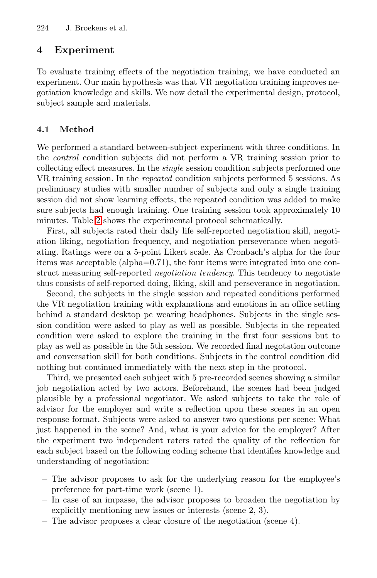# **4 Experiment**

To evaluate training effects of the negotiation training, we have conducted an experiment. Our main hypothesis was that VR negotiation training improves negotiation knowledge and skills. We now detail the experimental design, protocol, subject sample and materials.

#### **4.1 Method**

We performed a standard between-subject experiment with three conditions. In the *control* condition subjects did not perform a VR training session prior to collecting effect measures. In the *single* session condition subjects performed one VR training session. In the *repeated* condition subjects performed 5 sessions. As preliminary studies with smaller number of subjects and only a single training session did not show learning effects, the repeated condition was added to make sure subjects had enough training. One training session took approximately 10 minutes. Table [2](#page-8-0) shows the experimental protocol schematically.

First, all subjects rated their daily life self-reported negotiation skill, negotiation liking, negotiation frequency, and negotiation perseverance when negotiating. Ratings were on a 5-point Likert scale. As Cronbach's alpha for the four items was acceptable (alpha=0.71), the four items were integrated into one construct measuring self-reported *negotiation tendency*. This tendency to negotiate thus consists of self-reported doing, liking, skill and perseverance in negotiation.

Second, the subjects in the single session and repeated conditions performed the VR negotiation training with explanations and emotions in an office setting behind a standard desktop pc wearing headphones. Subjects in the single session condition were asked to play as well as possible. Subjects in the repeated condition were asked to explore the training in the first four sessions but to play as well as possible in the 5th session. We recorded final negotation outcome and conversation skill for both conditions. Subjects in the control condition did nothing but continued immediately with the next step in the protocol.

Third, we presented each subject with 5 pre-recorded scenes showing a similar job negotiation acted by two actors. Beforehand, the scenes had been judged plausible by a professional negotiator. We asked subjects to take the role of advisor for the employer and write a reflection upon these scenes in an open response format. Subjects were asked to answer two questions per scene: What just happened in the scene? And, what is your advice for the employer? After the experiment two independent raters rated the quality of the reflection for each subject based on the following coding scheme that identifies knowledge and understanding of negotiation:

- **–** The advisor proposes to ask for the underlying reason for the employee's preference for part-time work (scene 1).
- **–** In case of an impasse, the advisor proposes to broaden the negotiation by explicitly mentioning new issues or interests (scene 2, 3).
- **–** The advisor proposes a clear closure of the negotiation (scene 4).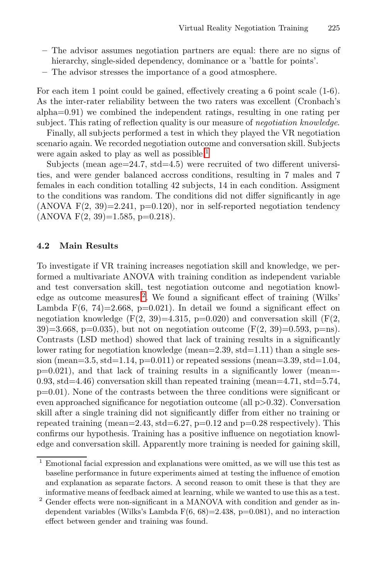- **–** The advisor assumes negotiation partners are equal: there are no signs of hierarchy, single-sided dependency, dominance or a 'battle for points'.
- **–** The advisor stresses the importance of a good atmosphere.

For each item 1 point could be gained, effectively creating a 6 point scale (1-6). As the inter-rater reliability between the two raters was excellent (Cronbach's alpha=0.91) we combined the independent ratings, resulting in one rating per subject. This rating of reflection quality is our measure of *negotiation knowledge*.

Finally, all subjects performed a test in which they played the VR negotiation scenario again. We recorded negotiation outcome and conversation skill. Subjects were again asked to play as well as possible.<sup>[1](#page-7-0)</sup>

Subjects (mean  $age=24.7$ ,  $std=4.5$ ) were recruited of two different universities, and were gender balanced accross conditions, resulting in 7 males and 7 females in each condition totalling 42 subjects, 14 in each condition. Assigment to the conditions was random. The conditions did not differ significantly in age  $(ANOVA F(2, 39)=2.241, p=0.120)$ , nor in self-reported negotiation tendency  $(ANOVA F(2, 39)=1.585, p=0.218).$ 

#### **4.2 Main Results**

To investigate if VR training increases negotiation skill and knowledge, we performed a multivariate ANOVA with training condition as independent variable and test conversation skill, test negotiation outcome and negotiation knowl-edge as outcome measures.<sup>[2](#page-7-1)</sup>. We found a significant effect of training (Wilks' Lambda  $F(6, 74)=2.668$ ,  $p=0.021$ ). In detail we found a significant effect on negotiation knowledge (F(2, 39)=4.315, p=0.020) and conversation skill (F(2, 39)=3.668, p=0.035), but not on negotiation outcome (F(2, 39)=0.593, p=ns). Contrasts (LSD method) showed that lack of training results in a significantly lower rating for negotiation knowledge (mean= $2.39$ , std= $1.11$ ) than a single session (mean=3.5, std=1.14,  $p=0.011$ ) or repeated sessions (mean=3.39, std=1.04, p=0.021), and that lack of training results in a significantly lower (mean=- 0.93, std=4.46) conversation skill than repeated training (mean=4.71, std=5.74, p=0.01). None of the contrasts between the three conditions were significant or even approached significance for negotiation outcome (all p*>*0.32). Conversation skill after a single training did not significantly differ from either no training or repeated training (mean=2.43, std=6.27,  $p=0.12$  and  $p=0.28$  respectively). This confirms our hypothesis. Training has a positive influence on negotiation knowledge and conversation skill. Apparently more training is needed for gaining skill,

<span id="page-7-1"></span><span id="page-7-0"></span><sup>1</sup> Emotional facial expression and explanations were omitted, as we will use this test as baseline performance in future experiments aimed at testing the influence of emotion and explanation as separate factors. A second reason to omit these is that they are informative means of feedback aimed at learning, while we wanted to use this as a test.

 $^{\rm 2}$  Gender effects were non-significant in a MANOVA with condition and gender as independent variables (Wilks's Lambda  $F(6, 68) = 2.438$ , p=0.081), and no interaction effect between gender and training was found.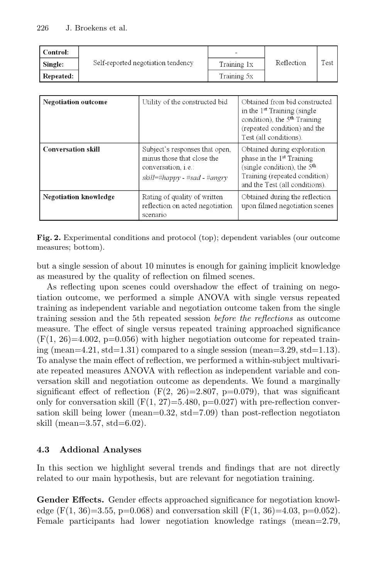| Control:  |                                    |             |            |      |
|-----------|------------------------------------|-------------|------------|------|
| Single:   | Self-reported negotiation tendency | Training 1x | Reflection | Test |
| Repeated: |                                    | Training 5x |            |      |

<span id="page-8-0"></span>

| <b>Negotiation outcome</b>   | Utility of the constructed bid                                                                                                 | Obtained from bid constructed<br>in the $1st$ Training (single)<br>condition), the 5 <sup>th</sup> Training<br>(repeated condition) and the<br>Test (all conditions). |
|------------------------------|--------------------------------------------------------------------------------------------------------------------------------|-----------------------------------------------------------------------------------------------------------------------------------------------------------------------|
| <b>Conversation skill</b>    | Subject's responses that open,<br>minus those that close the<br>conversation, <i>i.e.</i> :<br>$skill=\#happy - #sad - #angry$ | Obtained during exploration<br>phase in the $1st$ Training<br>(single condition), the $5th$<br>Training (repeated condition)<br>and the Test (all conditions).        |
| <b>Negotiation knowledge</b> | Rating of quality of written<br>reflection on acted negotiation<br>scenario                                                    | Obtained during the reflection<br>upon filmed negotiation scenes                                                                                                      |

**Fig. 2.** Experimental conditions and protocol (top); dependent variables (our outcome measures; bottom).

but a single session of about 10 minutes is enough for gaining implicit knowledge as measured by the quality of reflection on filmed scenes.

As reflecting upon scenes could overshadow the effect of training on negotiation outcome, we performed a simple ANOVA with single versus repeated training as independent variable and negotiation outcome taken from the single training session and the 5th repeated session *before the reflections* as outcome measure. The effect of single versus repeated training approached significance  $(F(1, 26)=4.002, p=0.056)$  with higher negotiation outcome for repeated training (mean= $4.21$ , std= $1.31$ ) compared to a single session (mean= $3.29$ , std= $1.13$ ). To analyse the main effect of reflection, we performed a within-subject multivariate repeated measures ANOVA with reflection as independent variable and conversation skill and negotiation outcome as dependents. We found a marginally significant effect of reflection  $(F(2, 26)=2.807, p=0.079)$ , that was significant only for conversation skill  $(F(1, 27)=5.480, p=0.027)$  with pre-reflection conversation skill being lower (mean=0.32, std=7.09) than post-reflection negotiaton skill (mean= $3.57$ , std= $6.02$ ).

### **4.3 Addional Analyses**

In this section we highlight several trends and findings that are not directly related to our main hypothesis, but are relevant for negotiation training.

**Gender Effects.** Gender effects approached significance for negotiation knowledge (F(1, 36)=3.55, p=0.068) and conversation skill (F(1, 36)=4.03, p=0.052). Female participants had lower negotiation knowledge ratings (mean=2.79,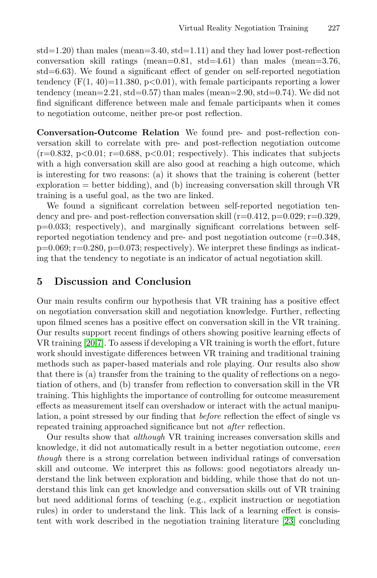$std=1.20$ ) than males (mean=3.40,  $std=1.11$ ) and they had lower post-reflection conversation skill ratings (mean=0.81, std=4.61) than males (mean=3.76, std=6.63). We found a significant effect of gender on self-reported negotiation tendency (F(1, 40)=11.380, p*<*0.01), with female participants reporting a lower tendency (mean=2.21, std=0.57) than males (mean=2.90, std=0.74). We did not find significant difference between male and female participants when it comes to negotiation outcome, neither pre-or post reflection.

**Conversation-Outcome Relation** We found pre- and post-reflection conversation skill to correlate with pre- and post-reflection negotiation outcome (r=0.832, p*<*0.01; r=0.688, p*<*0.01; respectively). This indicates that subjects with a high conversation skill are also good at reaching a high outcome, which is interesting for two reasons: (a) it shows that the training is coherent (better exploration = better bidding), and (b) increasing conversation skill through VR training is a useful goal, as the two are linked.

We found a significant correlation between self-reported negotiation tendency and pre- and post-reflection conversation skill  $(r=0.412, p=0.029; r=0.329,$ p=0.033; respectively), and marginally significant correlations between selfreported negotiation tendency and pre- and post negotiation outcome  $(r=0.348,$  $p=0.069$ ;  $r=0.280$ ,  $p=0.073$ ; respectively). We interpret these findings as indicating that the tendency to negotiate is an indicator of actual negotiation skill.

#### **5 Discussion and Conclusion**

Our main results confirm our hypothesis that VR training has a positive effect on negotiation conversation skill and negotiation knowledge. Further, reflecting upon filmed scenes has a positive effect on conversation skill in the VR training. Our results support recent findings of others showing positive learning effects of VR training [\[20](#page-11-7)[,7\]](#page-10-4). To assess if developing a VR training is worth the effort, future work should investigate differences between VR training and traditional training methods such as paper-based materials and role playing. Our results also show that there is (a) transfer from the training to the quality of reflections on a negotiation of others, and (b) transfer from reflection to conversation skill in the VR training. This highlights the importance of controlling for outcome measurement effects as measurement itself can overshadow or interact with the actual manipulation, a point stressed by our finding that *before* reflection the effect of single vs repeated training approached significance but not *after* reflection.

Our results show that *although* VR training increases conversation skills and knowledge, it did not automatically result in a better negotiation outcome, *even though* there is a strong correlation between individual ratings of conversation skill and outcome. We interpret this as follows: good negotiators already understand the link between exploration and bidding, while those that do not understand this link can get knowledge and conversation skills out of VR training but need additional forms of teaching (e.g., explicit instruction or negotiation rules) in order to understand the link. This lack of a learning effect is consistent with work described in the negotiation training literature [\[23\]](#page-11-18) concluding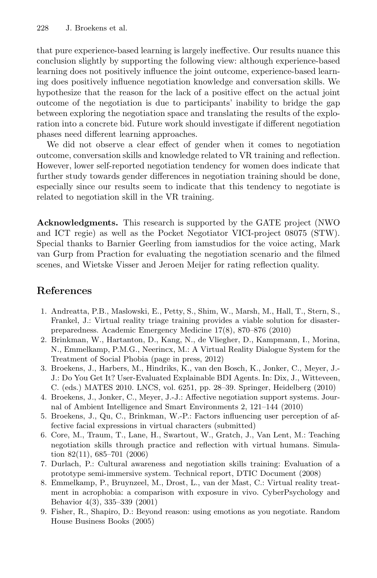that pure experience-based learning is largely ineffective. Our results nuance this conclusion slightly by supporting the following view: although experience-based learning does not positively influence the joint outcome, experience-based learning does positively influence negotiation knowledge and conversation skills. We hypothesize that the reason for the lack of a positive effect on the actual joint outcome of the negotiation is due to participants' inability to bridge the gap between exploring the negotiation space and translating the results of the exploration into a concrete bid. Future work should investigate if different negotiation phases need different learning approaches.

We did not observe a clear effect of gender when it comes to negotiation outcome, conversation skills and knowledge related to VR training and reflection. However, lower self-reported negotiation tendency for women does indicate that further study towards gender differences in negotiation training should be done, especially since our results seem to indicate that this tendency to negotiate is related to negotiation skill in the VR training.

<span id="page-10-2"></span><span id="page-10-0"></span>**Acknowledgments.** This research is supported by the GATE project (NWO and ICT regie) as well as the Pocket Negotiator VICI-project 08075 (STW). Special thanks to Barnier Geerling from iamstudios for the voice acting, Mark van Gurp from Praction for evaluating the negotiation scenario and the filmed scenes, and Wietske Visser and Jeroen Meijer for rating reflection quality.

# <span id="page-10-8"></span>**References**

- <span id="page-10-6"></span>1. Andreatta, P.B., Maslowski, E., Petty, S., Shim, W., Marsh, M., Hall, T., Stern, S., Frankel, J.: Virtual reality triage training provides a viable solution for disasterpreparedness. Academic Emergency Medicine 17(8), 870–876 (2010)
- <span id="page-10-7"></span><span id="page-10-3"></span>2. Brinkman, W., Hartanton, D., Kang, N., de Vliegher, D., Kampmann, I., Morina, N., Emmelkamp, P.M.G., Neerincx, M.: A Virtual Reality Dialogue System for the Treatment of Social Phobia (page in press, 2012)
- <span id="page-10-4"></span>3. Broekens, J., Harbers, M., Hindriks, K., van den Bosch, K., Jonker, C., Meyer, J.- J.: Do You Get It? User-Evaluated Explainable BDI Agents. In: Dix, J., Witteveen, C. (eds.) MATES 2010. LNCS, vol. 6251, pp. 28–39. Springer, Heidelberg (2010)
- <span id="page-10-1"></span>4. Broekens, J., Jonker, C., Meyer, J.-J.: Affective negotiation support systems. Journal of Ambient Intelligence and Smart Environments 2, 121–144 (2010)
- 5. Broekens, J., Qu, C., Brinkman, W.-P.: Factors influencing user perception of affective facial expressions in virtual characters (submitted)
- <span id="page-10-5"></span>6. Core, M., Traum, T., Lane, H., Swartout, W., Gratch, J., Van Lent, M.: Teaching negotiation skills through practice and reflection with virtual humans. Simulation 82(11), 685–701 (2006)
- 7. Durlach, P.: Cultural awareness and negotiation skills training: Evaluation of a prototype semi-immersive system. Technical report, DTIC Document (2008)
- 8. Emmelkamp, P., Bruynzeel, M., Drost, L., van der Mast, C.: Virtual reality treatment in acrophobia: a comparison with exposure in vivo. CyberPsychology and Behavior 4(3), 335–339 (2001)
- 9. Fisher, R., Shapiro, D.: Beyond reason: using emotions as you negotiate. Random House Business Books (2005)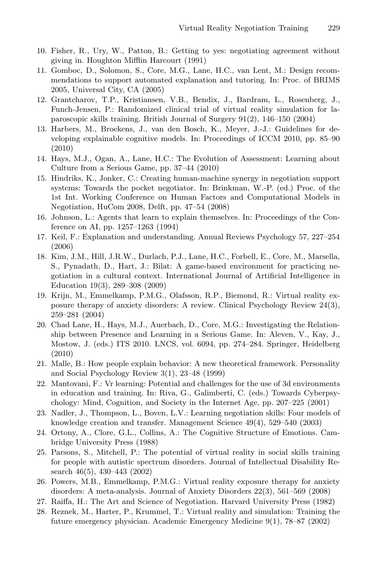- <span id="page-11-15"></span><span id="page-11-14"></span><span id="page-11-9"></span><span id="page-11-4"></span>10. Fisher, R., Ury, W., Patton, B.: Getting to yes: negotiating agreement without giving in. Houghton Mifflin Harcourt (1991)
- <span id="page-11-6"></span>11. Gomboc, D., Solomon, S., Core, M.G., Lane, H.C., van Lent, M.: Design recommendations to support automated explanation and tutoring. In: Proc. of BRIMS 2005, Universal City, CA (2005)
- <span id="page-11-11"></span>12. Grantcharov, T.P., Kristiansen, V.B., Bendix, J., Bardram, L., Rosenberg, J., Funch-Jensen, P.: Randomized clinical trial of virtual reality simulation for laparoscopic skills training. British Journal of Surgery 91(2), 146–150 (2004)
- <span id="page-11-13"></span>13. Harbers, M., Broekens, J., van den Bosch, K., Meyer, J.-J.: Guidelines for developing explainable cognitive models. In: Proceedings of ICCM 2010, pp. 85–90 (2010)
- <span id="page-11-16"></span>14. Hays, M.J., Ogan, A., Lane, H.C.: The Evolution of Assessment: Learning about Culture from a Serious Game, pp. 37–44 (2010)
- <span id="page-11-8"></span>15. Hindriks, K., Jonker, C.: Creating human-machine synergy in negotiation support systems: Towards the pocket negotiator. In: Brinkman, W.-P. (ed.) Proc. of the 1st Int. Working Conference on Human Factors and Computational Models in Negotiation, HuCom 2008, Delft, pp. 47–54 (2008)
- <span id="page-11-1"></span>16. Johnson, L.: Agents that learn to explain themselves. In: Proceedings of the Conference on AI, pp. 1257–1263 (1994)
- <span id="page-11-7"></span>17. Keil, F.: Explanation and understanding. Annual Reviews Psychology 57, 227–254 (2006)
- 18. Kim, J.M., Hill, J.R.W., Durlach, P.J., Lane, H.C., Forbell, E., Core, M., Marsella, S., Pynadath, D., Hart, J.: Bilat: A game-based environment for practicing negotiation in a cultural context. International Journal of Artificial Intelligence in Education 19(3), 289–308 (2009)
- <span id="page-11-17"></span><span id="page-11-0"></span>19. Krijn, M., Emmelkamp, P.M.G., Olafsson, R.P., Biemond, R.: Virtual reality exposure therapy of anxiety disorders: A review. Clinical Psychology Review 24(3), 259–281 (2004)
- <span id="page-11-18"></span>20. Chad Lane, H., Hays, M.J., Auerbach, D., Core, M.G.: Investigating the Relationship between Presence and Learning in a Serious Game. In: Aleven, V., Kay, J., Mostow, J. (eds.) ITS 2010. LNCS, vol. 6094, pp. 274–284. Springer, Heidelberg (2010)
- <span id="page-11-12"></span><span id="page-11-5"></span>21. Malle, B.: How people explain behavior: A new theoretical framework. Personality and Social Psychology Review 3(1), 23–48 (1999)
- <span id="page-11-2"></span>22. Mantovani, F.: Vr learning: Potential and challenges for the use of 3d environments in education and training. In: Riva, G., Galimberti, C. (eds.) Towards Cyberpsychology: Mind, Cognition, and Society in the Internet Age, pp. 207–225 (2001)
- <span id="page-11-10"></span>23. Nadler, J., Thompson, L., Boven, L.V.: Learning negotiation skills: Four models of knowledge creation and transfer. Management Science 49(4), 529–540 (2003)
- <span id="page-11-3"></span>24. Ortony, A., Clore, G.L., Collins, A.: The Cognitive Structure of Emotions. Cambridge University Press (1988)
- 25. Parsons, S., Mitchell, P.: The potential of virtual reality in social skills training for people with autistic spectrum disorders. Journal of Intellectual Disability Research 46(5), 430–443 (2002)
- 26. Powers, M.B., Emmelkamp, P.M.G.: Virtual reality exposure therapy for anxiety disorders: A meta-analysis. Journal of Anxiety Disorders 22(3), 561–569 (2008)
- 27. Raiffa, H.: The Art and Science of Negotiation. Harvard University Press (1982)
- 28. Reznek, M., Harter, P., Krummel, T.: Virtual reality and simulation: Training the future emergency physician. Academic Emergency Medicine 9(1), 78–87 (2002)